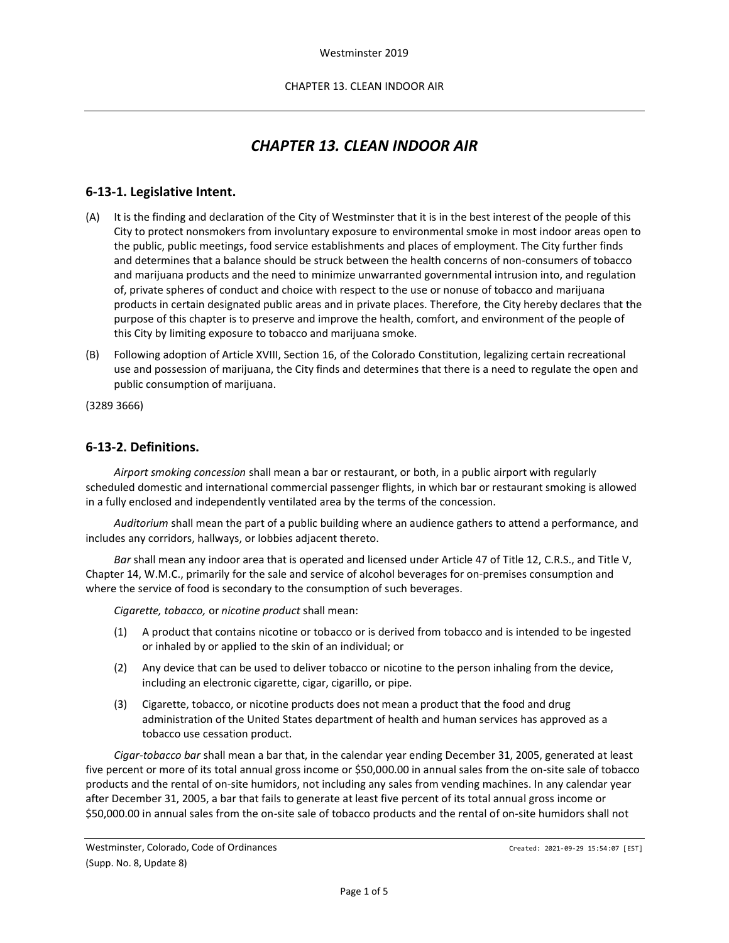# *CHAPTER 13. CLEAN INDOOR AIR*

### **6-13-1. Legislative Intent.**

- (A) It is the finding and declaration of the City of Westminster that it is in the best interest of the people of this City to protect nonsmokers from involuntary exposure to environmental smoke in most indoor areas open to the public, public meetings, food service establishments and places of employment. The City further finds and determines that a balance should be struck between the health concerns of non-consumers of tobacco and marijuana products and the need to minimize unwarranted governmental intrusion into, and regulation of, private spheres of conduct and choice with respect to the use or nonuse of tobacco and marijuana products in certain designated public areas and in private places. Therefore, the City hereby declares that the purpose of this chapter is to preserve and improve the health, comfort, and environment of the people of this City by limiting exposure to tobacco and marijuana smoke.
- (B) Following adoption of Article XVIII, Section 16, of the Colorado Constitution, legalizing certain recreational use and possession of marijuana, the City finds and determines that there is a need to regulate the open and public consumption of marijuana.

(3289 3666)

#### **6-13-2. Definitions.**

*Airport smoking concession* shall mean a bar or restaurant, or both, in a public airport with regularly scheduled domestic and international commercial passenger flights, in which bar or restaurant smoking is allowed in a fully enclosed and independently ventilated area by the terms of the concession.

*Auditorium* shall mean the part of a public building where an audience gathers to attend a performance, and includes any corridors, hallways, or lobbies adjacent thereto.

*Bar* shall mean any indoor area that is operated and licensed under Article 47 of Title 12, C.R.S., and Title V, Chapter 14, W.M.C., primarily for the sale and service of alcohol beverages for on-premises consumption and where the service of food is secondary to the consumption of such beverages.

*Cigarette, tobacco,* or *nicotine product* shall mean:

- (1) A product that contains nicotine or tobacco or is derived from tobacco and is intended to be ingested or inhaled by or applied to the skin of an individual; or
- (2) Any device that can be used to deliver tobacco or nicotine to the person inhaling from the device, including an electronic cigarette, cigar, cigarillo, or pipe.
- (3) Cigarette, tobacco, or nicotine products does not mean a product that the food and drug administration of the United States department of health and human services has approved as a tobacco use cessation product.

*Cigar-tobacco bar* shall mean a bar that, in the calendar year ending December 31, 2005, generated at least five percent or more of its total annual gross income or \$50,000.00 in annual sales from the on-site sale of tobacco products and the rental of on-site humidors, not including any sales from vending machines. In any calendar year after December 31, 2005, a bar that fails to generate at least five percent of its total annual gross income or \$50,000.00 in annual sales from the on-site sale of tobacco products and the rental of on-site humidors shall not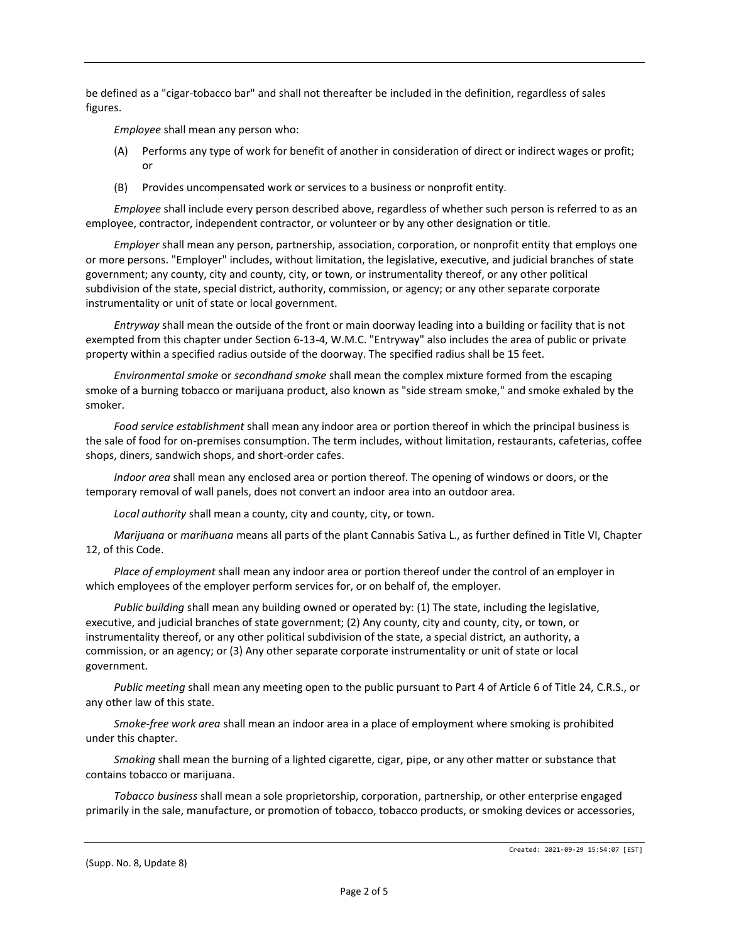be defined as a "cigar-tobacco bar" and shall not thereafter be included in the definition, regardless of sales figures.

*Employee* shall mean any person who:

- (A) Performs any type of work for benefit of another in consideration of direct or indirect wages or profit; or
- (B) Provides uncompensated work or services to a business or nonprofit entity.

*Employee* shall include every person described above, regardless of whether such person is referred to as an employee, contractor, independent contractor, or volunteer or by any other designation or title.

*Employer* shall mean any person, partnership, association, corporation, or nonprofit entity that employs one or more persons. "Employer" includes, without limitation, the legislative, executive, and judicial branches of state government; any county, city and county, city, or town, or instrumentality thereof, or any other political subdivision of the state, special district, authority, commission, or agency; or any other separate corporate instrumentality or unit of state or local government.

*Entryway* shall mean the outside of the front or main doorway leading into a building or facility that is not exempted from this chapter under Section 6-13-4, W.M.C. "Entryway" also includes the area of public or private property within a specified radius outside of the doorway. The specified radius shall be 15 feet.

*Environmental smoke* or *secondhand smoke* shall mean the complex mixture formed from the escaping smoke of a burning tobacco or marijuana product, also known as "side stream smoke," and smoke exhaled by the smoker.

*Food service establishment* shall mean any indoor area or portion thereof in which the principal business is the sale of food for on-premises consumption. The term includes, without limitation, restaurants, cafeterias, coffee shops, diners, sandwich shops, and short-order cafes.

*Indoor area* shall mean any enclosed area or portion thereof. The opening of windows or doors, or the temporary removal of wall panels, does not convert an indoor area into an outdoor area.

*Local authority* shall mean a county, city and county, city, or town.

*Marijuana* or *marihuana* means all parts of the plant Cannabis Sativa L., as further defined in Title VI, Chapter 12, of this Code.

*Place of employment* shall mean any indoor area or portion thereof under the control of an employer in which employees of the employer perform services for, or on behalf of, the employer.

*Public building* shall mean any building owned or operated by: (1) The state, including the legislative, executive, and judicial branches of state government; (2) Any county, city and county, city, or town, or instrumentality thereof, or any other political subdivision of the state, a special district, an authority, a commission, or an agency; or (3) Any other separate corporate instrumentality or unit of state or local government.

*Public meeting* shall mean any meeting open to the public pursuant to Part 4 of Article 6 of Title 24, C.R.S., or any other law of this state.

*Smoke-free work area* shall mean an indoor area in a place of employment where smoking is prohibited under this chapter.

*Smoking* shall mean the burning of a lighted cigarette, cigar, pipe, or any other matter or substance that contains tobacco or marijuana.

*Tobacco business* shall mean a sole proprietorship, corporation, partnership, or other enterprise engaged primarily in the sale, manufacture, or promotion of tobacco, tobacco products, or smoking devices or accessories,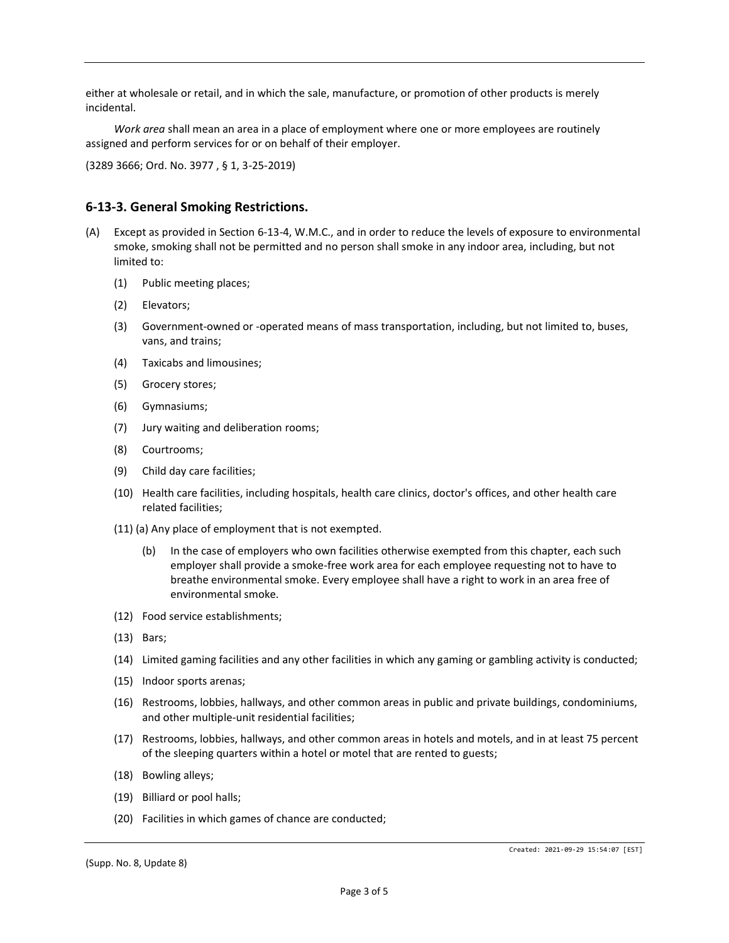either at wholesale or retail, and in which the sale, manufacture, or promotion of other products is merely incidental.

*Work area* shall mean an area in a place of employment where one or more employees are routinely assigned and perform services for or on behalf of their employer.

(3289 3666; Ord. No. 3977 , § 1, 3-25-2019)

#### **6-13-3. General Smoking Restrictions.**

- (A) Except as provided in Section 6-13-4, W.M.C., and in order to reduce the levels of exposure to environmental smoke, smoking shall not be permitted and no person shall smoke in any indoor area, including, but not limited to:
	- (1) Public meeting places;
	- (2) Elevators;
	- (3) Government-owned or -operated means of mass transportation, including, but not limited to, buses, vans, and trains;
	- (4) Taxicabs and limousines;
	- (5) Grocery stores;
	- (6) Gymnasiums;
	- (7) Jury waiting and deliberation rooms;
	- (8) Courtrooms;
	- (9) Child day care facilities;
	- (10) Health care facilities, including hospitals, health care clinics, doctor's offices, and other health care related facilities;
	- (11) (a) Any place of employment that is not exempted.
		- (b) In the case of employers who own facilities otherwise exempted from this chapter, each such employer shall provide a smoke-free work area for each employee requesting not to have to breathe environmental smoke. Every employee shall have a right to work in an area free of environmental smoke.
	- (12) Food service establishments;
	- (13) Bars;
	- (14) Limited gaming facilities and any other facilities in which any gaming or gambling activity is conducted;
	- (15) Indoor sports arenas;
	- (16) Restrooms, lobbies, hallways, and other common areas in public and private buildings, condominiums, and other multiple-unit residential facilities;
	- (17) Restrooms, lobbies, hallways, and other common areas in hotels and motels, and in at least 75 percent of the sleeping quarters within a hotel or motel that are rented to guests;
	- (18) Bowling alleys;
	- (19) Billiard or pool halls;
	- (20) Facilities in which games of chance are conducted;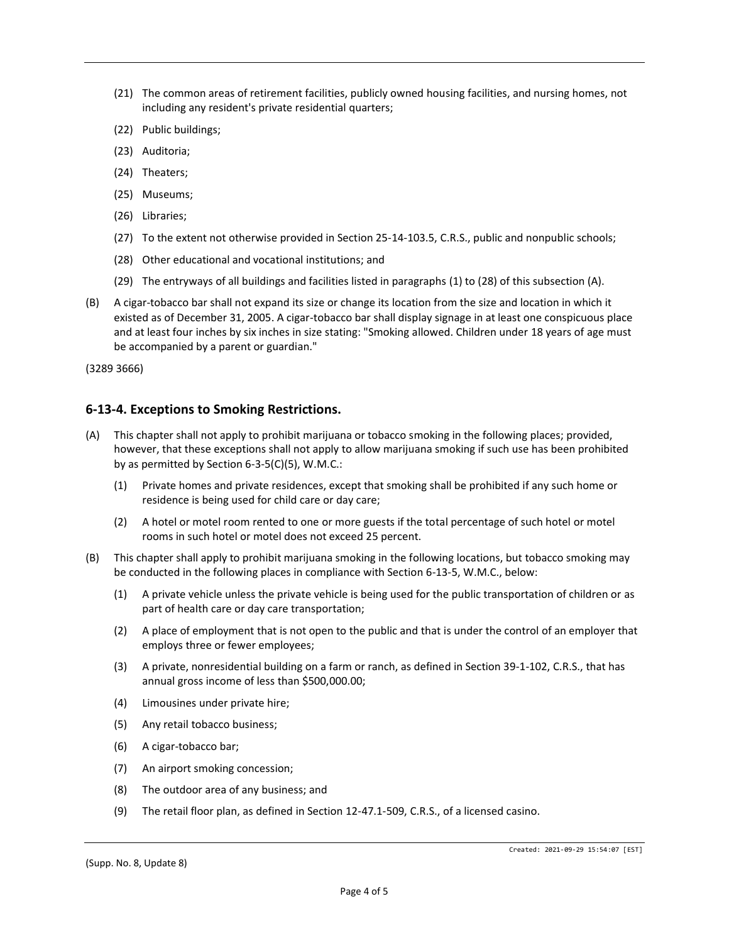- (21) The common areas of retirement facilities, publicly owned housing facilities, and nursing homes, not including any resident's private residential quarters;
- (22) Public buildings;
- (23) Auditoria;
- (24) Theaters;
- (25) Museums;
- (26) Libraries;
- (27) To the extent not otherwise provided in Section 25-14-103.5, C.R.S., public and nonpublic schools;
- (28) Other educational and vocational institutions; and
- (29) The entryways of all buildings and facilities listed in paragraphs (1) to (28) of this subsection (A).
- (B) A cigar-tobacco bar shall not expand its size or change its location from the size and location in which it existed as of December 31, 2005. A cigar-tobacco bar shall display signage in at least one conspicuous place and at least four inches by six inches in size stating: "Smoking allowed. Children under 18 years of age must be accompanied by a parent or guardian."

(3289 3666)

#### **6-13-4. Exceptions to Smoking Restrictions.**

- (A) This chapter shall not apply to prohibit marijuana or tobacco smoking in the following places; provided, however, that these exceptions shall not apply to allow marijuana smoking if such use has been prohibited by as permitted by Section 6-3-5(C)(5), W.M.C.:
	- (1) Private homes and private residences, except that smoking shall be prohibited if any such home or residence is being used for child care or day care;
	- (2) A hotel or motel room rented to one or more guests if the total percentage of such hotel or motel rooms in such hotel or motel does not exceed 25 percent.
- (B) This chapter shall apply to prohibit marijuana smoking in the following locations, but tobacco smoking may be conducted in the following places in compliance with Section 6-13-5, W.M.C., below:
	- (1) A private vehicle unless the private vehicle is being used for the public transportation of children or as part of health care or day care transportation;
	- (2) A place of employment that is not open to the public and that is under the control of an employer that employs three or fewer employees;
	- (3) A private, nonresidential building on a farm or ranch, as defined in Section 39-1-102, C.R.S., that has annual gross income of less than \$500,000.00;
	- (4) Limousines under private hire;
	- (5) Any retail tobacco business;
	- (6) A cigar-tobacco bar;
	- (7) An airport smoking concession;
	- (8) The outdoor area of any business; and
	- (9) The retail floor plan, as defined in Section 12-47.1-509, C.R.S., of a licensed casino.